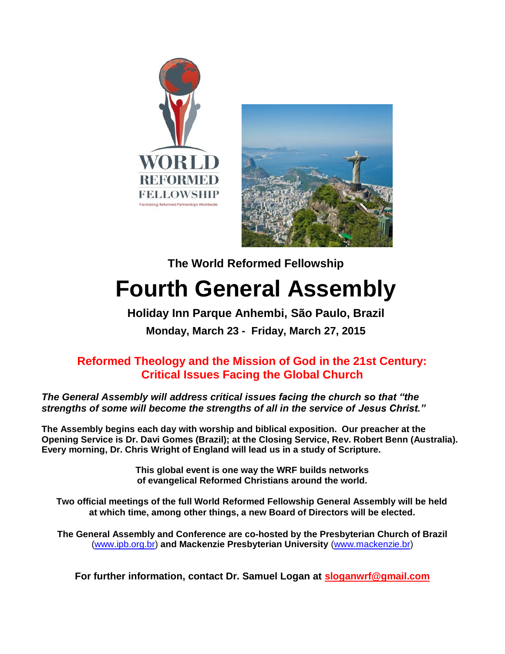



# **The World Reformed Fellowship Fourth General Assembly**

# **Holiday Inn Parque Anhembi, São Paulo, Brazil Monday, March 23 - Friday, March 27, 2015**

# **Reformed Theology and the Mission of God in the 21st Century: Critical Issues Facing the Global Church**

*The General Assembly will address critical issues facing the church so that "the strengths of some will become the strengths of all in the service of Jesus Christ."*

**The Assembly begins each day with worship and biblical exposition. Our preacher at the Opening Service is Dr. Davi Gomes (Brazil); at the Closing Service, Rev. Robert Benn (Australia). Every morning, Dr. Chris Wright of England will lead us in a study of Scripture.** 

> **This global event is one way the WRF builds networks of evangelical Reformed Christians around the world.**

**Two official meetings of the full World Reformed Fellowship General Assembly will be held at which time, among other things, a new Board of Directors will be elected.**

**The General Assembly and Conference are co-hosted by the Presbyterian Church of Brazil** [\(www.ipb.org.br\)](http://www.ipb.org.br/) **and Mackenzie Presbyterian University** [\(www.mackenzie.br\)](http://www.mackenzie.br/)

**For further information, contact Dr. Samuel Logan at [sloganwrf@gmail.com](mailto:sloganwrf@gmail.com)**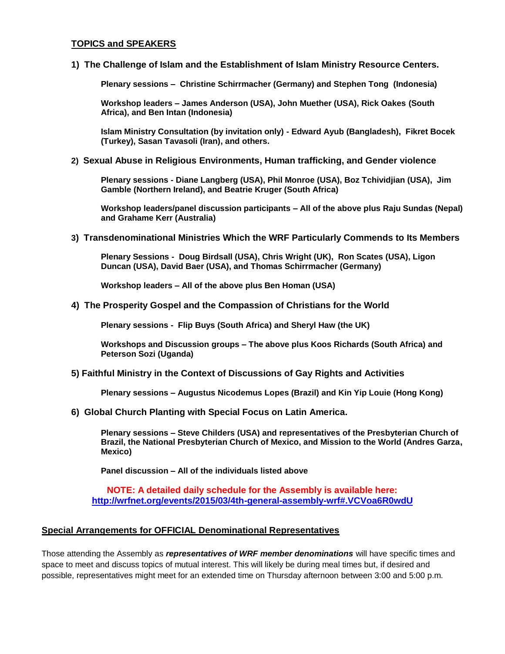#### **TOPICS and SPEAKERS**

**1) The Challenge of Islam and the Establishment of Islam Ministry Resource Centers.** 

**Plenary sessions – Christine Schirrmacher (Germany) and Stephen Tong (Indonesia)**

**Workshop leaders – James Anderson (USA), John Muether (USA), Rick Oakes (South Africa), and Ben Intan (Indonesia)** 

**Islam Ministry Consultation (by invitation only) - Edward Ayub (Bangladesh), Fikret Bocek (Turkey), Sasan Tavasoli (Iran), and others.**

**2) Sexual Abuse in Religious Environments, Human trafficking, and Gender violence**

**Plenary sessions - Diane Langberg (USA), Phil Monroe (USA), Boz Tchividjian (USA), Jim Gamble (Northern Ireland), and Beatrie Kruger (South Africa)** 

**Workshop leaders/panel discussion participants – All of the above plus Raju Sundas (Nepal) and Grahame Kerr (Australia)** 

#### **3) Transdenominational Ministries Which the WRF Particularly Commends to Its Members**

**Plenary Sessions - Doug Birdsall (USA), Chris Wright (UK), Ron Scates (USA), Ligon Duncan (USA), David Baer (USA), and Thomas Schirrmacher (Germany)**

**Workshop leaders – All of the above plus Ben Homan (USA)**

**4) The Prosperity Gospel and the Compassion of Christians for the World** 

**Plenary sessions - Flip Buys (South Africa) and Sheryl Haw (the UK)** 

**Workshops and Discussion groups – The above plus Koos Richards (South Africa) and Peterson Sozi (Uganda)**

**5) Faithful Ministry in the Context of Discussions of Gay Rights and Activities**

**Plenary sessions – Augustus Nicodemus Lopes (Brazil) and Kin Yip Louie (Hong Kong)**

**6) Global Church Planting with Special Focus on Latin America.** 

**Plenary sessions – Steve Childers (USA) and representatives of the Presbyterian Church of Brazil, the National Presbyterian Church of Mexico, and Mission to the World (Andres Garza, Mexico)**

**Panel discussion – All of the individuals listed above**

**NOTE: A detailed daily schedule for the Assembly is available here: <http://wrfnet.org/events/2015/03/4th-general-assembly-wrf#.VCVoa6R0wdU>**

#### **Special Arrangements for OFFICIAL Denominational Representatives**

Those attending the Assembly as *representatives of WRF member denominations* will have specific times and space to meet and discuss topics of mutual interest. This will likely be during meal times but, if desired and possible, representatives might meet for an extended time on Thursday afternoon between 3:00 and 5:00 p.m.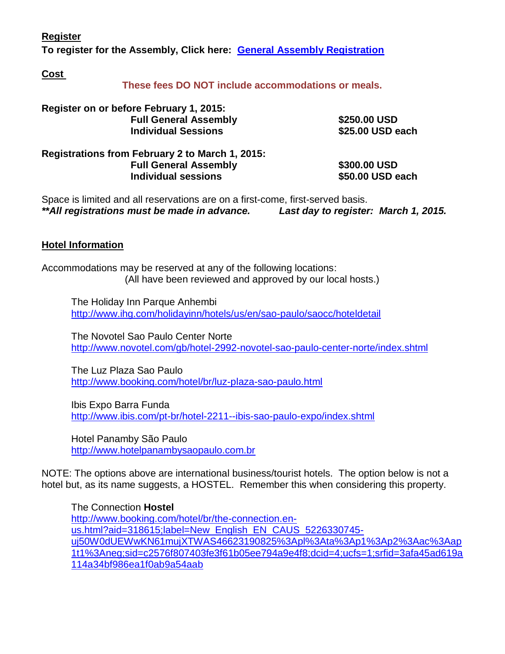**Register**

**To register for the Assembly, Click here: [General Assembly Registration](https://www.eventbrite.com/e/world-reformed-fellowship-2015-general-assembly-registration-12315669499?ref=enivtefor001&invite=NjcxODc4MS9zYW11ZWx0bG9nYW5AYW9sLmNvbS8w&utm_source=eb_email&utm_medium=email&utm_campaign=inviteformal001&utm_term=eventpage)**

**Cost**

**These fees DO NOT include accommodations or meals.**

| Register on or before February 1, 2015:<br><b>Full General Assembly</b><br><b>Individual Sessions</b> | \$250.00 USD<br>\$25.00 USD each |                                                 |              |
|-------------------------------------------------------------------------------------------------------|----------------------------------|-------------------------------------------------|--------------|
|                                                                                                       |                                  | Registrations from February 2 to March 1, 2015: |              |
|                                                                                                       |                                  | <b>Full General Assembly</b>                    | \$300.00 USD |
| <b>Individual sessions</b>                                                                            | \$50.00 USD each                 |                                                 |              |

Space is limited and all reservations are on a first-come, first-served basis. *\*\*All registrations must be made in advance. Last day to register: March 1, 2015.*

## **Hotel Information**

Accommodations may be reserved at any of the following locations: (All have been reviewed and approved by our local hosts.)

The Holiday Inn Parque Anhembi <http://www.ihg.com/holidayinn/hotels/us/en/sao-paulo/saocc/hoteldetail>

The Novotel Sao Paulo Center Norte <http://www.novotel.com/gb/hotel-2992-novotel-sao-paulo-center-norte/index.shtml>

The Luz Plaza Sao Paulo <http://www.booking.com/hotel/br/luz-plaza-sao-paulo.html>

Ibis Expo Barra Funda <http://www.ibis.com/pt-br/hotel-2211--ibis-sao-paulo-expo/index.shtml>

Hotel Panamby São Paulo [http://www.hotelpanambysaopaulo.com.br](http://www.hotelpanambysaopaulo.com.br/)

NOTE: The options above are international business/tourist hotels. The option below is not a hotel but, as its name suggests, a HOSTEL. Remember this when considering this property.

The Connection **Hostel** [http://www.booking.com/hotel/br/the-connection.en](http://www.booking.com/hotel/br/the-connection.en-us.html?aid=318615;label=New_English_EN_CAUS_5226330745-uj50W0dUEWwKN61mujXTWAS46623190825%3Apl%3Ata%3Ap1%3Ap2%3Aac%3Aap1t1%3Aneg;sid=c2576f807403fe3f61b05ee794a9e4f8;dcid=4;ucfs=1;srfid=3afa45ad619a114a34bf986ea1f0ab9a54aab)[us.html?aid=318615;label=New\\_English\\_EN\\_CAUS\\_5226330745](http://www.booking.com/hotel/br/the-connection.en-us.html?aid=318615;label=New_English_EN_CAUS_5226330745-uj50W0dUEWwKN61mujXTWAS46623190825%3Apl%3Ata%3Ap1%3Ap2%3Aac%3Aap1t1%3Aneg;sid=c2576f807403fe3f61b05ee794a9e4f8;dcid=4;ucfs=1;srfid=3afa45ad619a114a34bf986ea1f0ab9a54aab) [uj50W0dUEWwKN61mujXTWAS46623190825%3Apl%3Ata%3Ap1%3Ap2%3Aac%3Aap](http://www.booking.com/hotel/br/the-connection.en-us.html?aid=318615;label=New_English_EN_CAUS_5226330745-uj50W0dUEWwKN61mujXTWAS46623190825%3Apl%3Ata%3Ap1%3Ap2%3Aac%3Aap1t1%3Aneg;sid=c2576f807403fe3f61b05ee794a9e4f8;dcid=4;ucfs=1;srfid=3afa45ad619a114a34bf986ea1f0ab9a54aab) [1t1%3Aneg;sid=c2576f807403fe3f61b05ee794a9e4f8;dcid=4;ucfs=1;srfid=3afa45ad619a](http://www.booking.com/hotel/br/the-connection.en-us.html?aid=318615;label=New_English_EN_CAUS_5226330745-uj50W0dUEWwKN61mujXTWAS46623190825%3Apl%3Ata%3Ap1%3Ap2%3Aac%3Aap1t1%3Aneg;sid=c2576f807403fe3f61b05ee794a9e4f8;dcid=4;ucfs=1;srfid=3afa45ad619a114a34bf986ea1f0ab9a54aab) [114a34bf986ea1f0ab9a54aab](http://www.booking.com/hotel/br/the-connection.en-us.html?aid=318615;label=New_English_EN_CAUS_5226330745-uj50W0dUEWwKN61mujXTWAS46623190825%3Apl%3Ata%3Ap1%3Ap2%3Aac%3Aap1t1%3Aneg;sid=c2576f807403fe3f61b05ee794a9e4f8;dcid=4;ucfs=1;srfid=3afa45ad619a114a34bf986ea1f0ab9a54aab)